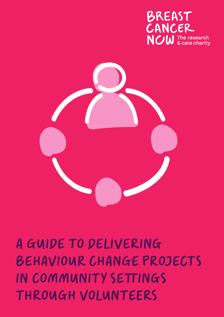### A GUIDE TO DELIVERING BEHAVIOUR CHANGE PROJECTS IN COMMUNITY SETTINGS THROUGH VOLUNTEERS



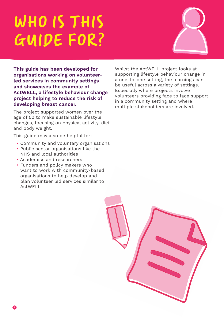### WHO IS THIS GUIDE FOR?



**This guide has been developed for organisations working on volunteerled services in community settings and showcases the example of ActWELL, a lifestyle behaviour change project helping to reduce the risk of developing breast cancer.** 

The project supported women over the age of 50 to make sustainable lifestyle changes, focusing on physical activity, diet and body weight.

This guide may also be helpful for:

- Community and voluntary organisations
- Public sector organisations like the NHS and local authorities
- Academics and researchers
- Funders and policy makers who want to work with community-based organisations to help develop and plan volunteer led services similar to ActWELL

Whilst the ActWELL project looks at supporting lifestyle behaviour change in a one-to-one setting, the learnings can be useful across a variety of settings. Especially where projects involve volunteers providing face to face support in a community setting and where multiple stakeholders are involved.

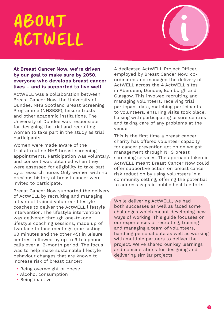### ABOUT ACTWELL



#### **At Breast Cancer Now, we're driven by our goal to make sure by 2050, everyone who develops breast cancer lives – and is supported to live well.**

ActWELL was a collaboration between Breast Cancer Now, the University of Dundee, NHS Scotland Breast Screening Programme (NHSBSP), leisure trusts and other academic institutions. The University of Dundee was responsible for designing the trial and recruiting women to take part in the study as trial participants.

Women were made aware of the trial at routine NHS breast screening appointments. Participation was voluntary, and consent was obtained when they were assessed for eligibility to take part by a research nurse. Only women with no previous history of breast cancer were invited to participate.

Breast Cancer Now supported the delivery of ActWELL by recruiting and managing a team of trained volunteer lifestyle coaches to deliver the ActWELL lifestyle intervention. The lifestyle intervention was delivered through one-to-one lifestyle coaching sessions, made up of two face to face meetings (one lasting 60 minutes and the other 45) in leisure centres, followed by up to 9 telephone calls over a 12-month period. The focus was to help make sustainable lifestyle behaviour changes that are known to increase risk of breast cancer:

- Being overweight or obese
- Alcohol consumption
- Being inactive

A dedicated ActWELL Project Officer, employed by Breast Cancer Now, coordinated and managed the delivery of ActWELL across the 4 ActWELL sites in Aberdeen, Dundee, Edinburgh and Glasgow. This involved recruiting and managing volunteers, receiving trial particpant data, matching participants to volunteers, ensuring visits took place, liaising with participating leisure centres and taking care of any problems at the venue.

This is the first time a breast cancer charity has offered volunteer capacity for cancer prevention action on weight management through NHS breast screening services. The approach taken in ActWELL meant Breast Cancer Now could offer supportive action on breast cancer risk reduction by using volunteers in a community setting, offering the potential to address gaps in public health efforts.

While delivering ActWELL, we had both successes as well as faced some challenges which meant developing new ways of working. This guide focusses on our experiences of recruiting, training and managing a team of volunteers, handling personal data as well as working with multiple partners to deliver the project. We've shared our key learnings and considerations for designing and delivering similar projects.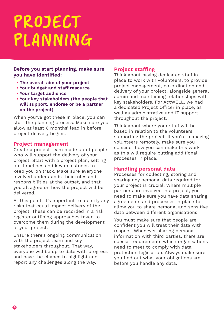### PROJECT PLANNING

#### **Before you start planning, make sure you have identified:**

- **The overall aim of your project**
- **Your budget and staff resource**
- **Your target audience**
- **Your key stakeholders (the people that will support, endorse or be a partner on the project)**

When you've got these in place, you can start the planning process. Make sure you allow at least 6 months' lead in before project delivery begins.

#### **Project management**

Create a project team made up of people who will support the delivery of your project. Start with a project plan, setting out timelines and key milestones to keep you on track. Make sure everyone involved understands their roles and responsibilities at the outset, and that you all agree on how the project will be delivered.

At this point, it's important to identify any risks that could impact delivery of the project. These can be recorded in a risk register outlining approaches taken to overcome them during the development of your project.

Ensure there's ongoing communication with the project team and key stakeholders throughout. That way, everyone will be up to date with progress and have the chance to highlight and report any challenges along the way.

#### **Project staffing**

Think about having dedicated staff in place to work with volunteers, to provide project management, co-ordination and delivery of your project, alongside general admin and maintaining relationships with key stakeholders. For ActWELL, we had a dedicated Project Officer in place, as well as administrative and IT support throughout the project.

Think about where your staff will be based in relation to the volunteers supporting the project. If you're managing volunteers remotely, make sure you consider how you can make this work as this will require putting additional processes in place.

#### **Handling personal data**

Processes for collecting, storing and sharing any personal data required for your project is crucial. Where multiple partners are involved in a project, you need to make sure you have data sharing agreements and processes in place to allow you to share personal and sensitive data between different organisations.

You must make sure that people are confident you will treat their data with respect. Whenever sharing personal information with third parties, there are special requirements which organisations need to meet to comply with data protection legislation. Always make sure you find out what your obligations are before you handle any data.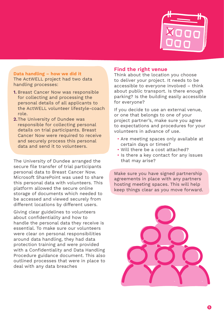

#### **Data handling – how we did it** The ActWELL project had two data handling processes:

- **1.** Breast Cancer Now was responsible for collecting and processing the personal details of all applicants to the ActWELL volunteer lifestyle-coach role.
- **2.**The University of Dundee was responsible for collecting personal details on trial participants. Breast Cancer Now were required to receive and securely process this personal data and send it to volunteers.

The University of Dundee arranged the secure file transfer of trial participants personal data to Breast Cancer Now. Microsoft SharePoint was used to share this personal data with volunteers. This platform allowed the secure online storage of documents which needed to be accessed and viewed securely from different locations by different users.

Giving clear guidelines to volunteers about confidentiality and how to handle the personal data they receive is essential. To make sure our volunteers were clear on personal responsibilities around data handling, they had data protection training and were provided with a Confidentiality and Data Handling Procedure guidance document. This also outlined processes that were in place to deal with any data breaches

#### **Find the right venue**

Think about the location you choose to deliver your project. It needs to be accessible to everyone involved – think about public transport. Is there enough parking? Is the building easily accessible for everyone?

If you decide to use an external venue, or one that belongs to one of your project partner's, make sure you agree to expectations and procedures for your volunteers in advance of use.

- Are meeting spaces only available at certain days or times?
- Will there be a cost attached?
- Is there a key contact for any issues that may arise?

Make sure you have signed partnership agreements in place with any partners hosting meeting spaces. This will help keep things clear as you move forward.

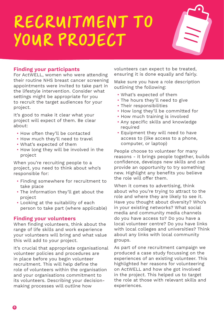## RECRUITMENT TO YOUR PROJECT



#### **Finding your participants**

For ActWELL, women who were attending their routine NHS breast cancer screening appointments were invited to take part in the lifestyle intervention. Consider what settings might be appropriate for you to recruit the target audiences for your project.

It's good to make it clear what your project will expect of them. Be clear about:

- How often they'll be contacted
- How much they'll need to travel
- What's expected of them
- How long they will be involved in the project

When you're recruiting people to a project, you need to think about who's responsible for:

- Finding somewhere for recruitment to take place
- The information they'll get about the project
- Looking at the suitability of each person to take part (where applicable)

#### **Finding your volunteers**

When finding volunteers, think about the range of life skills and work experience your volunteers will bring and what value this will add to your project.

It's crucial that appropriate organisational volunteer policies and procedures are in place before you begin volunteer recruitment. This will help define the role of volunteers within the organisation and your organisations commitment to its volunteers. Describing your decisionmaking processes will outline how

volunteers can expect to be treated, ensuring it is done equally and fairly.

Make sure you have a role description outlining the following:

- What's expected of them
- The hours they'll need to give
- Their responsibilities
- How long they'll be committed for
- How much training is involved
- Any specific skills and knowledge required
- Equipment they will need to have access to (like access to a phone, computer, or laptop)

People choose to volunteer for many reasons - it brings people together, builds confidence, develops new skills and can provide an opportunity to try something new. Highlight any benefits you believe the role will offer them.

When it comes to advertising, think about who you're trying to attract to the role and where they are likely to see it. Have you thought about diversity? Who's in your existing networks? What social media and community media channels do you have access to? Do you have a local volunteer centre? Do you have links with local colleges and universities? Think about any links with local community groups.

As part of one recruitment campaign we produced a case study focussing on the experiences of an existing volunteer. This highlighted her reasons for volunteering on ActWELL and how she got involved in the project. This helped us to target the role at those with relevant skills and experiences.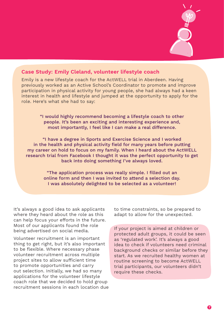

#### **Case Study: Emily Cleland, volunteer lifestyle coach**

Emily is a new lifestyle coach for the ActWELL trial in Aberdeen. Having previously worked as an Active School's Coordinator to promote and improve participation in physical activity for young people, she had always had a keen interest in health and lifestyle and jumped at the opportunity to apply for the role. Here's what she had to say:

> "I would highly recommend becoming a lifestyle coach to other people. It's been an exciting and interesting experience and, most importantly, I feel like I can make a real difference.

"I have a degree in Sports and Exercise Science and I worked in the health and physical activity field for many years before putting my career on hold to focus on my family. When I heard about the ActWELL research trial from Facebook I thought it was the perfect opportunity to get back into doing something I've always loved.

"The application process was really simple. I filled out an online form and then I was invited to attend a selection day. I was absolutely delighted to be selected as a volunteer!

It's always a good idea to ask applicants where they heard about the role as this can help focus your efforts in the future. Most of our applicants found the role being advertised on social media.

Volunteer recruitment is an important thing to get right, but it's also important to be flexible. Where necessary phase volunteer recruitment across multiple project sites to allow sufficient time to promote opportunities and carry out selection. Initially, we had so many applications for the volunteer lifestyle coach role that we decided to hold group recruitment sessions in each location due to time constraints, so be prepared to adapt to allow for the unexpected.

If your project is aimed at children or protected adult groups, it could be seen as 'regulated work'. It's always a good idea to check if volunteers need criminal background checks or similar before they start. As we recruited healthy women at routine screening to become ActWELL trial participants, our volunteers didn't require these checks.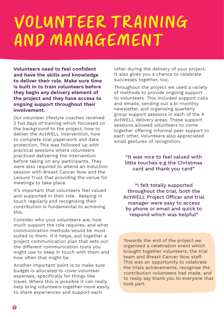### VOLUNTEER TRAINING AND MANAGEMENT

**Volunteers need to feel confident and have the skills and knowledge to deliver their role. Make sure time is built in to train volunteers before they begin any delivery element of the project and they have access to ongoing support throughout their involvement.** 

Our volunteer lifestyle coaches received 2 full days of training which focussed on the background to the project, how to deliver the ActWELL intervention, how to complete trial paperwork and data protection. This was followed up with practical sessions where volunteers practiced delivering the intervention before taking on any participants. They were also required to attend an induction session with Breast Cancer Now and the Leisure Trust that providing the venue for meetings to take place.

It's important that volunteers feel valued and supported in their role. Keeping in touch regularly and recognising their contribution is fundamental to achieving this.

Consider who your volunteers are, how much support the role requires, and what communication methods would be most suited to them. If it helps, put together a project communication plan that sets out the different communication tools you might use to keep in touch with them and how often that might be.

Another important point is to make sure budget is allocated to cover volunteer expenses, specifically for things like travel. Where this is possible it can really help bring volunteers together more easily to share experiences and support each

other during the delivery of your project. It also gives you a chance to celebrate successes together, too.

Throughout the project we used a variety of methods to provide ongoing support to volunteers. This included support calls and emails, sending out a bi-monthly newsletter, and organising quarterly group support sessions in each of the 4 ActWELL delivery areas. These support sessions allowed volunteers to come together offering informal peer support to each other. Volunteers also appreciated small gestures of recognition.

> "It was nice to feel valued with little touches e.g the Christmas card and thank you card"

"I felt totally supported throughout the trial, both the ActWELL Project Officer and trial manager were easy to access by phone or email and quick to respond which was helpful"

Towards the end of the project we organised a celebration event which brought together volunteers, the trial team and Breast Cancer Now staff. This was an opportunity to celebrate the trials achievements, recognise the contribution volunteers had made, and to really say thank you to everyone that took part.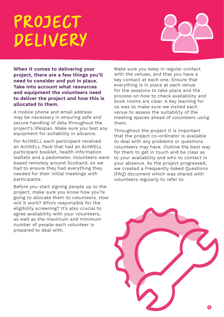### PROJECT DELIVERY



**When it comes to delivering your project, there are a few things you'll need to consider and put in place. Take into account what resources and equipment the volunteers need to deliver the project and how this is allocated to them.** 

A mobile phone and email address may be necessary in ensuring safe and secure handling of data throughout the project's lifespan. Make sure you test any equipment for suitability in advance.

For ActWELL each participant received an ActWELL Pack that had an ActWELL participant booklet, health information leaflets and a pedometer. Volunteers were based remotely around Scotland, so we had to ensure they had everything they needed for their initial meetings with participants.

Before you start signing people up to the project, make sure you know how you're going to allocate them to volunteers. How will it work? Who's responsible for the eligibility screening? It's also crucial to agree availability with your volunteers, as well as the maximum and minimum number of people each volunteer is prepared to deal with.

Make sure you keep in regular contact with the venues, and that you have a key contact at each one. Ensure that everything is in place at each venue for the sessions to take place and the process on how to check availability and book rooms are clear. A key learning for us was to make sure we visited each venue to assess the suitability of the meeting spaces ahead of volunteers using them.

Throughout the project it is important that the project co-ordinator is available to deal with any problems or questions volunteers may have. Outline the best way for them to get in touch and be clear as to your availability and who to contact in your absence. As the project progressed, we created a Frequently Asked Questions (FAQ) document which was shared with volunteers regularly to refer to.

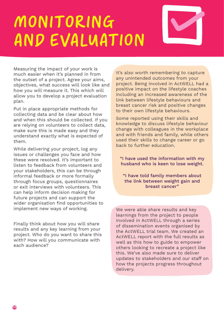## MONITORING AND EVALUATION



Measuring the impact of your work is much easier when it's planned in from the outset of a project. Agree your aims, objectives, what success will look like and how you will measure it. This which will allow you to develop a project evaluation plan.

Put in place appropriate methods for collecting data and be clear about how and when this should be collected. If you are relying on volunteers to collect data, make sure this is made easy and they understand exactly what is expected of them.

While delivering your project, log any issues or challenges you face and how these were resolved. It's important to listen to feedback from volunteers and your stakeholders, this can be through informal feedback or more formally through focus groups, questionnaires or exit interviews with volunteers. This can help inform decision making for future projects and can support the wider organisation find opportunities to implement new ways of working.

Finally think about how you will share results and any key learning from your project. Who do you want to share this with? How will you communicate with each audience?

It's also worth remembering to capture any unintended outcomes from your project. Being involved in ActWELL had a positive impact on the lifestyle coaches including an increased awareness of the link between lifestyle behaviours and breast cancer risk and positive changes to their own lifestyle behaviours.

Some reported using their skills and knowledge to discuss lifestyle behaviour change with colleagues in the workplace and with friends and family, while others used their skills to change career or go back to further education.

"I have used the information with my husband who is keen to lose weight.

"I have told family members about the link between weight gain and breast cancer"

We were able share results and key learnings from the project to people involved in ActWELL through a series of dissemination events organised by the ActWELL trial team. We created an ActWELL report with the full results as well as this how to guide to empower others looking to recreate a project like this. We've also made sure to deliver updates to stakeholders and our staff on how the projects progress throughout delivery.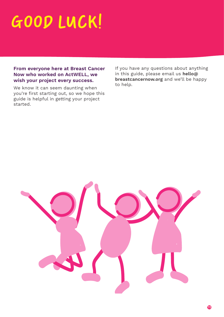# GOOD LUCK!

#### **From everyone here at Breast Cancer Now who worked on ActWELL, we wish your project every success.**

We know it can seem daunting when you're first starting out, so we hope this guide is helpful in getting your project started.

If you have any questions about anything in this guide, please email us **hello@ breastcancernow.org** and we'll be happy to help.